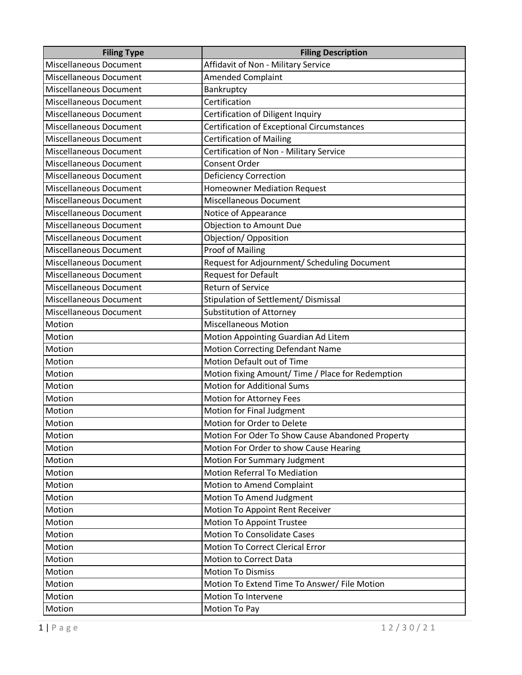| <b>Filing Type</b>            | <b>Filing Description</b>                         |
|-------------------------------|---------------------------------------------------|
| <b>Miscellaneous Document</b> | Affidavit of Non - Military Service               |
| <b>Miscellaneous Document</b> | <b>Amended Complaint</b>                          |
| <b>Miscellaneous Document</b> | Bankruptcy                                        |
| <b>Miscellaneous Document</b> | Certification                                     |
| <b>Miscellaneous Document</b> | Certification of Diligent Inquiry                 |
| <b>Miscellaneous Document</b> | <b>Certification of Exceptional Circumstances</b> |
| <b>Miscellaneous Document</b> | <b>Certification of Mailing</b>                   |
| <b>Miscellaneous Document</b> | Certification of Non - Military Service           |
| <b>Miscellaneous Document</b> | <b>Consent Order</b>                              |
| <b>Miscellaneous Document</b> | <b>Deficiency Correction</b>                      |
| <b>Miscellaneous Document</b> | <b>Homeowner Mediation Request</b>                |
| <b>Miscellaneous Document</b> | <b>Miscellaneous Document</b>                     |
| <b>Miscellaneous Document</b> | Notice of Appearance                              |
| <b>Miscellaneous Document</b> | <b>Objection to Amount Due</b>                    |
| <b>Miscellaneous Document</b> | Objection/ Opposition                             |
| <b>Miscellaneous Document</b> | <b>Proof of Mailing</b>                           |
| <b>Miscellaneous Document</b> | Request for Adjournment/ Scheduling Document      |
| <b>Miscellaneous Document</b> | <b>Request for Default</b>                        |
| <b>Miscellaneous Document</b> | <b>Return of Service</b>                          |
| <b>Miscellaneous Document</b> | Stipulation of Settlement/ Dismissal              |
| <b>Miscellaneous Document</b> | <b>Substitution of Attorney</b>                   |
| Motion                        | Miscellaneous Motion                              |
| Motion                        | Motion Appointing Guardian Ad Litem               |
| Motion                        | <b>Motion Correcting Defendant Name</b>           |
| Motion                        | Motion Default out of Time                        |
| Motion                        | Motion fixing Amount/ Time / Place for Redemption |
| Motion                        | <b>Motion for Additional Sums</b>                 |
| Motion                        | Motion for Attorney Fees                          |
| Motion                        | Motion for Final Judgment                         |
| Motion                        | Motion for Order to Delete                        |
| Motion                        | Motion For Oder To Show Cause Abandoned Property  |
| Motion                        | Motion For Order to show Cause Hearing            |
| Motion                        | <b>Motion For Summary Judgment</b>                |
| Motion                        | <b>Motion Referral To Mediation</b>               |
| Motion                        | Motion to Amend Complaint                         |
| Motion                        | Motion To Amend Judgment                          |
| Motion                        | Motion To Appoint Rent Receiver                   |
| Motion                        | Motion To Appoint Trustee                         |
| Motion                        | <b>Motion To Consolidate Cases</b>                |
| Motion                        | <b>Motion To Correct Clerical Error</b>           |
| Motion                        | Motion to Correct Data                            |
| Motion                        | <b>Motion To Dismiss</b>                          |
| Motion                        | Motion To Extend Time To Answer/ File Motion      |
| Motion                        | Motion To Intervene                               |
| Motion                        | Motion To Pay                                     |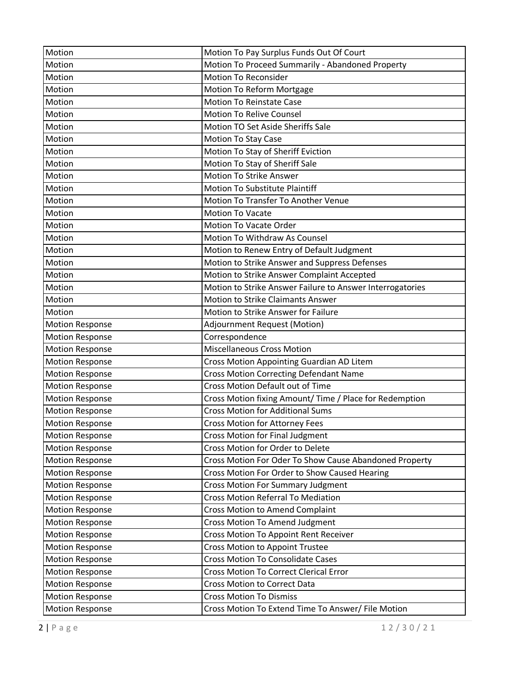| Motion                 | Motion To Pay Surplus Funds Out Of Court                  |
|------------------------|-----------------------------------------------------------|
| Motion                 | Motion To Proceed Summarily - Abandoned Property          |
| Motion                 | <b>Motion To Reconsider</b>                               |
| Motion                 | Motion To Reform Mortgage                                 |
| Motion                 | <b>Motion To Reinstate Case</b>                           |
| Motion                 | <b>Motion To Relive Counsel</b>                           |
| Motion                 | Motion TO Set Aside Sheriffs Sale                         |
| Motion                 | <b>Motion To Stay Case</b>                                |
| Motion                 | Motion To Stay of Sheriff Eviction                        |
| Motion                 | Motion To Stay of Sheriff Sale                            |
| Motion                 | <b>Motion To Strike Answer</b>                            |
| Motion                 | Motion To Substitute Plaintiff                            |
| Motion                 | Motion To Transfer To Another Venue                       |
| Motion                 | <b>Motion To Vacate</b>                                   |
| Motion                 | <b>Motion To Vacate Order</b>                             |
| Motion                 | <b>Motion To Withdraw As Counsel</b>                      |
| Motion                 | Motion to Renew Entry of Default Judgment                 |
| Motion                 | Motion to Strike Answer and Suppress Defenses             |
| Motion                 | Motion to Strike Answer Complaint Accepted                |
| Motion                 | Motion to Strike Answer Failure to Answer Interrogatories |
| Motion                 | <b>Motion to Strike Claimants Answer</b>                  |
| Motion                 | Motion to Strike Answer for Failure                       |
| <b>Motion Response</b> | Adjournment Request (Motion)                              |
|                        |                                                           |
| <b>Motion Response</b> | Correspondence                                            |
| <b>Motion Response</b> | <b>Miscellaneous Cross Motion</b>                         |
| <b>Motion Response</b> | Cross Motion Appointing Guardian AD Litem                 |
| <b>Motion Response</b> | <b>Cross Motion Correcting Defendant Name</b>             |
| <b>Motion Response</b> | Cross Motion Default out of Time                          |
| <b>Motion Response</b> | Cross Motion fixing Amount/ Time / Place for Redemption   |
| <b>Motion Response</b> | <b>Cross Motion for Additional Sums</b>                   |
| <b>Motion Response</b> | <b>Cross Motion for Attorney Fees</b>                     |
| <b>Motion Response</b> | <b>Cross Motion for Final Judgment</b>                    |
| <b>Motion Response</b> | Cross Motion for Order to Delete                          |
| <b>Motion Response</b> | Cross Motion For Oder To Show Cause Abandoned Property    |
| <b>Motion Response</b> | Cross Motion For Order to Show Caused Hearing             |
| <b>Motion Response</b> | <b>Cross Motion For Summary Judgment</b>                  |
| <b>Motion Response</b> | <b>Cross Motion Referral To Mediation</b>                 |
| <b>Motion Response</b> | <b>Cross Motion to Amend Complaint</b>                    |
| <b>Motion Response</b> | Cross Motion To Amend Judgment                            |
| <b>Motion Response</b> | Cross Motion To Appoint Rent Receiver                     |
| <b>Motion Response</b> | <b>Cross Motion to Appoint Trustee</b>                    |
| <b>Motion Response</b> | <b>Cross Motion To Consolidate Cases</b>                  |
| <b>Motion Response</b> | <b>Cross Motion To Correct Clerical Error</b>             |
| <b>Motion Response</b> | <b>Cross Motion to Correct Data</b>                       |
| <b>Motion Response</b> | <b>Cross Motion To Dismiss</b>                            |